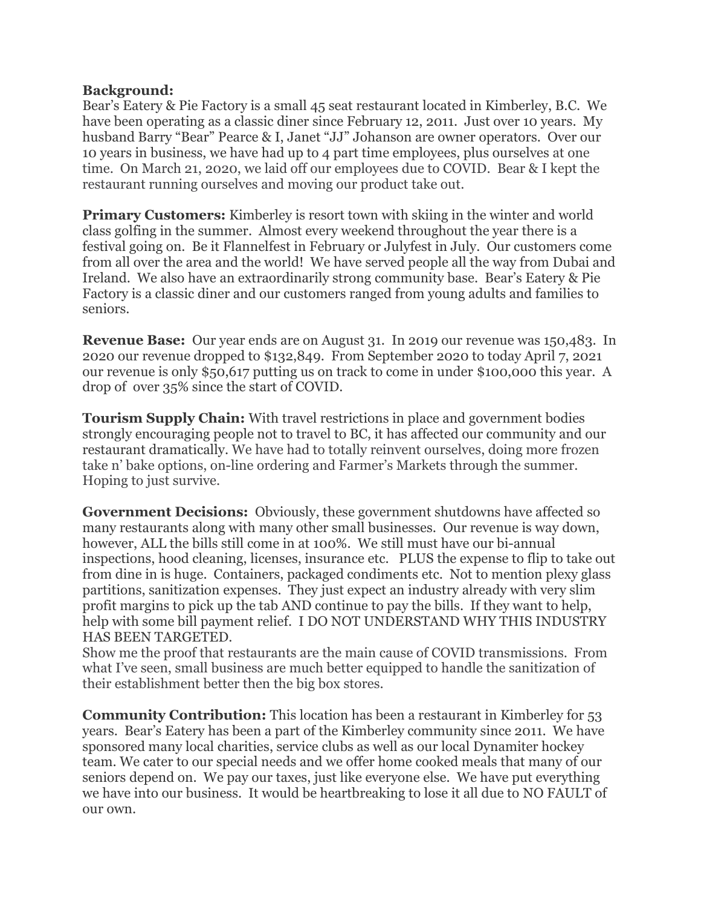## **Background:**

Bear's Eatery & Pie Factory is a small 45 seat restaurant located in Kimberley, B.C. We have been operating as a classic diner since February 12, 2011. Just over 10 years. My husband Barry "Bear" Pearce & I, Janet "JJ" Johanson are owner operators. Over our 10 years in business, we have had up to 4 part time employees, plus ourselves at one time. On March 21, 2020, we laid off our employees due to COVID. Bear & I kept the restaurant running ourselves and moving our product take out.

**Primary Customers:** Kimberley is resort town with skiing in the winter and world class golfing in the summer. Almost every weekend throughout the year there is a festival going on. Be it Flannelfest in February or Julyfest in July. Our customers come from all over the area and the world! We have served people all the way from Dubai and Ireland. We also have an extraordinarily strong community base. Bear's Eatery & Pie Factory is a classic diner and our customers ranged from young adults and families to seniors.

**Revenue Base:** Our year ends are on August 31. In 2019 our revenue was 150,483. In 2020 our revenue dropped to \$132,849. From September 2020 to today April 7, 2021 our revenue is only \$50,617 putting us on track to come in under \$100,000 this year. A drop of over 35% since the start of COVID.

**Tourism Supply Chain:** With travel restrictions in place and government bodies strongly encouraging people not to travel to BC, it has affected our community and our restaurant dramatically. We have had to totally reinvent ourselves, doing more frozen take n' bake options, on-line ordering and Farmer's Markets through the summer. Hoping to just survive.

**Government Decisions:** Obviously, these government shutdowns have affected so many restaurants along with many other small businesses. Our revenue is way down, however, ALL the bills still come in at 100%. We still must have our bi-annual inspections, hood cleaning, licenses, insurance etc. PLUS the expense to flip to take out from dine in is huge. Containers, packaged condiments etc. Not to mention plexy glass partitions, sanitization expenses. They just expect an industry already with very slim profit margins to pick up the tab AND continue to pay the bills. If they want to help, help with some bill payment relief. I DO NOT UNDERSTAND WHY THIS INDUSTRY HAS BEEN TARGETED.

Show me the proof that restaurants are the main cause of COVID transmissions. From what I've seen, small business are much better equipped to handle the sanitization of their establishment better then the big box stores.

**Community Contribution:** This location has been a restaurant in Kimberley for 53 years. Bear's Eatery has been a part of the Kimberley community since 2011. We have sponsored many local charities, service clubs as well as our local Dynamiter hockey team. We cater to our special needs and we offer home cooked meals that many of our seniors depend on. We pay our taxes, just like everyone else. We have put everything we have into our business. It would be heartbreaking to lose it all due to NO FAULT of our own.